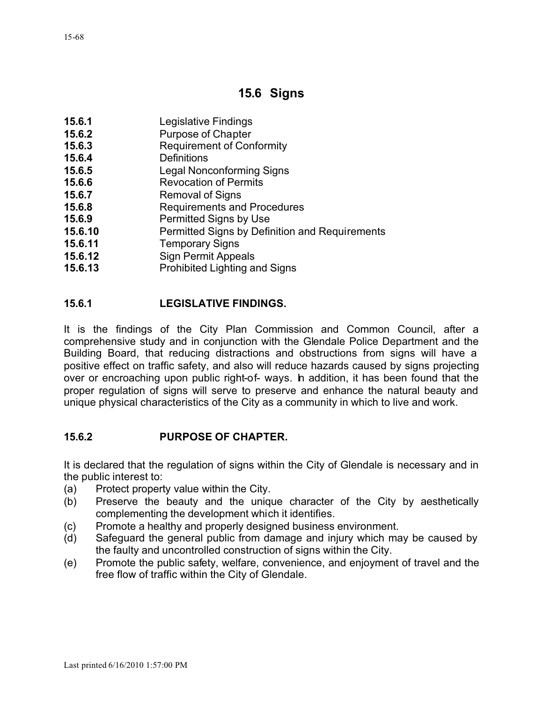# **15.6 Signs**

- **15.6.1** Legislative Findings
- **15.6.2** Purpose of Chapter
- **15.6.3** Requirement of Conformity
- **15.6.4** Definitions
- **15.6.5** Legal Nonconforming Signs
- **15.6.6** Revocation of Permits
- **15.6.7** Removal of Signs
- **15.6.8** Requirements and Procedures
- **15.6.9** Permitted Signs by Use
- **15.6.10** Permitted Signs by Definition and Requirements
- **15.6.11** Temporary Signs
- **15.6.12** Sign Permit Appeals
- **15.6.13** Prohibited Lighting and Signs

### **15.6.1 LEGISLATIVE FINDINGS.**

It is the findings of the City Plan Commission and Common Council, after a comprehensive study and in conjunction with the Glendale Police Department and the Building Board, that reducing distractions and obstructions from signs will have a positive effect on traffic safety, and also will reduce hazards caused by signs projecting over or encroaching upon public right-of- ways. In addition, it has been found that the proper regulation of signs will serve to preserve and enhance the natural beauty and unique physical characteristics of the City as a community in which to live and work.

### **15.6.2 PURPOSE OF CHAPTER.**

It is declared that the regulation of signs within the City of Glendale is necessary and in the public interest to:

- (a) Protect property value within the City.
- (b) Preserve the beauty and the unique character of the City by aesthetically complementing the development which it identifies.
- (c) Promote a healthy and properly designed business environment.
- (d) Safeguard the general public from damage and injury which may be caused by the faulty and uncontrolled construction of signs within the City.
- (e) Promote the public safety, welfare, convenience, and enjoyment of travel and the free flow of traffic within the City of Glendale.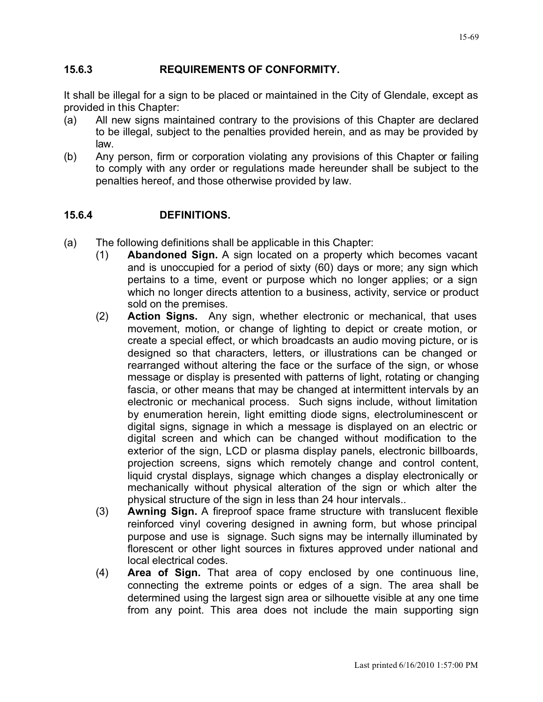#### **15.6.3 REQUIREMENTS OF CONFORMITY.**

It shall be illegal for a sign to be placed or maintained in the City of Glendale, except as provided in this Chapter:

- (a) All new signs maintained contrary to the provisions of this Chapter are declared to be illegal, subject to the penalties provided herein, and as may be provided by law.
- (b) Any person, firm or corporation violating any provisions of this Chapter or failing to comply with any order or regulations made hereunder shall be subject to the penalties hereof, and those otherwise provided by law.

#### **15.6.4 DEFINITIONS.**

- (a) The following definitions shall be applicable in this Chapter:
	- (1) **Abandoned Sign.** A sign located on a property which becomes vacant and is unoccupied for a period of sixty (60) days or more; any sign which pertains to a time, event or purpose which no longer applies; or a sign which no longer directs attention to a business, activity, service or product sold on the premises.
	- (2) **Action Signs.** Any sign, whether electronic or mechanical, that uses movement, motion, or change of lighting to depict or create motion, or create a special effect, or which broadcasts an audio moving picture, or is designed so that characters, letters, or illustrations can be changed or rearranged without altering the face or the surface of the sign, or whose message or display is presented with patterns of light, rotating or changing fascia, or other means that may be changed at intermittent intervals by an electronic or mechanical process. Such signs include, without limitation by enumeration herein, light emitting diode signs, electroluminescent or digital signs, signage in which a message is displayed on an electric or digital screen and which can be changed without modification to the exterior of the sign, LCD or plasma display panels, electronic billboards, projection screens, signs which remotely change and control content, liquid crystal displays, signage which changes a display electronically or mechanically without physical alteration of the sign or which alter the physical structure of the sign in less than 24 hour intervals..
	- (3) **Awning Sign.** A fireproof space frame structure with translucent flexible reinforced vinyl covering designed in awning form, but whose principal purpose and use is signage. Such signs may be internally illuminated by florescent or other light sources in fixtures approved under national and local electrical codes.
	- (4) **Area of Sign.** That area of copy enclosed by one continuous line, connecting the extreme points or edges of a sign. The area shall be determined using the largest sign area or silhouette visible at any one time from any point. This area does not include the main supporting sign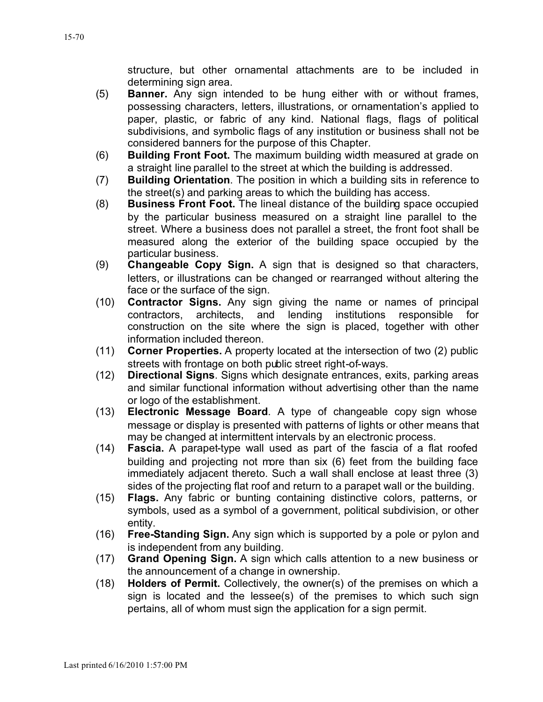structure, but other ornamental attachments are to be included in determining sign area.

- (5) **Banner.** Any sign intended to be hung either with or without frames, possessing characters, letters, illustrations, or ornamentation's applied to paper, plastic, or fabric of any kind. National flags, flags of political subdivisions, and symbolic flags of any institution or business shall not be considered banners for the purpose of this Chapter.
- (6) **Building Front Foot.** The maximum building width measured at grade on a straight line parallel to the street at which the building is addressed.
- (7) **Building Orientation**. The position in which a building sits in reference to the street(s) and parking areas to which the building has access.
- (8) **Business Front Foot.** The lineal distance of the building space occupied by the particular business measured on a straight line parallel to the street. Where a business does not parallel a street, the front foot shall be measured along the exterior of the building space occupied by the particular business.
- (9) **Changeable Copy Sign.** A sign that is designed so that characters, letters, or illustrations can be changed or rearranged without altering the face or the surface of the sign.
- (10) **Contractor Signs.** Any sign giving the name or names of principal contractors, architects, and lending institutions responsible for construction on the site where the sign is placed, together with other information included thereon.
- (11) **Corner Properties.** A property located at the intersection of two (2) public streets with frontage on both public street right-of-ways.
- (12) **Directional Signs**. Signs which designate entrances, exits, parking areas and similar functional information without advertising other than the name or logo of the establishment.
- (13) **Electronic Message Board**. A type of changeable copy sign whose message or display is presented with patterns of lights or other means that may be changed at intermittent intervals by an electronic process.
- (14) **Fascia.** A parapet-type wall used as part of the fascia of a flat roofed building and projecting not more than six (6) feet from the building face immediately adjacent thereto. Such a wall shall enclose at least three (3) sides of the projecting flat roof and return to a parapet wall or the building.
- (15) **Flags.** Any fabric or bunting containing distinctive colors, patterns, or symbols, used as a symbol of a government, political subdivision, or other entity.
- (16) **Free-Standing Sign.** Any sign which is supported by a pole or pylon and is independent from any building.
- (17) **Grand Opening Sign.** A sign which calls attention to a new business or the announcement of a change in ownership.
- (18) **Holders of Permit.** Collectively, the owner(s) of the premises on which a sign is located and the lessee(s) of the premises to which such sign pertains, all of whom must sign the application for a sign permit.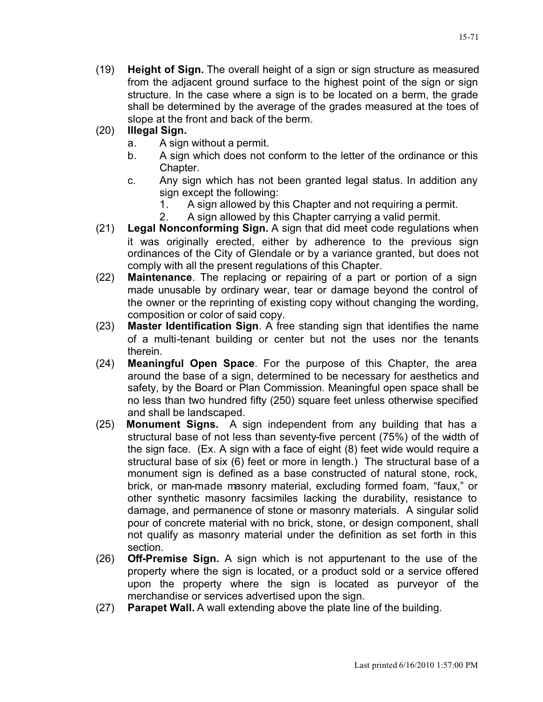15-71

(19) **Height of Sign.** The overall height of a sign or sign structure as measured from the adjacent ground surface to the highest point of the sign or sign structure. In the case where a sign is to be located on a berm, the grade shall be determined by the average of the grades measured at the toes of slope at the front and back of the berm.

### (20) **Illegal Sign.**

- a. A sign without a permit.
- b. A sign which does not conform to the letter of the ordinance or this Chapter.
- c. Any sign which has not been granted legal status. In addition any sign except the following:
	- 1. A sign allowed by this Chapter and not requiring a permit.
	- 2. A sign allowed by this Chapter carrying a valid permit.
- (21) **Legal Nonconforming Sign.** A sign that did meet code regulations when it was originally erected, either by adherence to the previous sign ordinances of the City of Glendale or by a variance granted, but does not comply with all the present regulations of this Chapter.
- (22) **Maintenance**. The replacing or repairing of a part or portion of a sign made unusable by ordinary wear, tear or damage beyond the control of the owner or the reprinting of existing copy without changing the wording, composition or color of said copy.
- (23) **Master Identification Sign**. A free standing sign that identifies the name of a multi-tenant building or center but not the uses nor the tenants therein.
- (24) **Meaningful Open Space**. For the purpose of this Chapter, the area around the base of a sign, determined to be necessary for aesthetics and safety, by the Board or Plan Commission. Meaningful open space shall be no less than two hundred fifty (250) square feet unless otherwise specified and shall be landscaped.
- (25) **Monument Signs.** A sign independent from any building that has a structural base of not less than seventy-five percent (75%) of the width of the sign face. (Ex. A sign with a face of eight (8) feet wide would require a structural base of six (6) feet or more in length.) The structural base of a monument sign is defined as a base constructed of natural stone, rock, brick, or man-made masonry material, excluding formed foam, "faux," or other synthetic masonry facsimiles lacking the durability, resistance to damage, and permanence of stone or masonry materials. A singular solid pour of concrete material with no brick, stone, or design component, shall not qualify as masonry material under the definition as set forth in this section.
- (26) **Off-Premise Sign.** A sign which is not appurtenant to the use of the property where the sign is located, or a product sold or a service offered upon the property where the sign is located as purveyor of the merchandise or services advertised upon the sign.
- (27) **Parapet Wall.** A wall extending above the plate line of the building.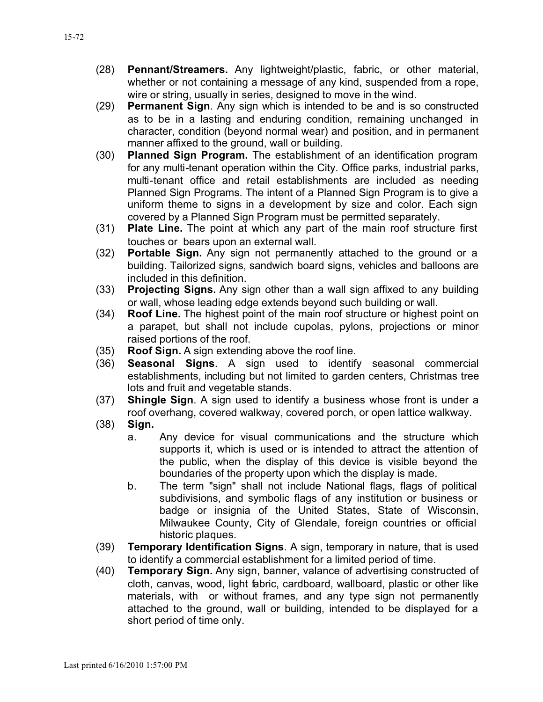- (28) **Pennant/Streamers.** Any lightweight/plastic, fabric, or other material, whether or not containing a message of any kind, suspended from a rope, wire or string, usually in series, designed to move in the wind.
- (29) **Permanent Sign**. Any sign which is intended to be and is so constructed as to be in a lasting and enduring condition, remaining unchanged in character, condition (beyond normal wear) and position, and in permanent manner affixed to the ground, wall or building.
- (30) **Planned Sign Program.** The establishment of an identification program for any multi-tenant operation within the City. Office parks, industrial parks, multi-tenant office and retail establishments are included as needing Planned Sign Programs. The intent of a Planned Sign Program is to give a uniform theme to signs in a development by size and color. Each sign covered by a Planned Sign Program must be permitted separately.
- (31) **Plate Line.** The point at which any part of the main roof structure first touches or bears upon an external wall.
- (32) **Portable Sign.** Any sign not permanently attached to the ground or a building. Tailorized signs, sandwich board signs, vehicles and balloons are included in this definition.
- (33) **Projecting Signs.** Any sign other than a wall sign affixed to any building or wall, whose leading edge extends beyond such building or wall.
- (34) **Roof Line.** The highest point of the main roof structure or highest point on a parapet, but shall not include cupolas, pylons, projections or minor raised portions of the roof.
- (35) **Roof Sign.** A sign extending above the roof line.
- (36) **Seasonal Signs**. A sign used to identify seasonal commercial establishments, including but not limited to garden centers, Christmas tree lots and fruit and vegetable stands.
- (37) **Shingle Sign**. A sign used to identify a business whose front is under a roof overhang, covered walkway, covered porch, or open lattice walkway.
- (38) **Sign.**
	- a. Any device for visual communications and the structure which supports it, which is used or is intended to attract the attention of the public, when the display of this device is visible beyond the boundaries of the property upon which the display is made.
	- b. The term "sign" shall not include National flags, flags of political subdivisions, and symbolic flags of any institution or business or badge or insignia of the United States, State of Wisconsin, Milwaukee County, City of Glendale, foreign countries or official historic plaques.
- (39) **Temporary Identification Signs**. A sign, temporary in nature, that is used to identify a commercial establishment for a limited period of time.
- (40) **Temporary Sign.** Any sign, banner, valance of advertising constructed of cloth, canvas, wood, light fabric, cardboard, wallboard, plastic or other like materials, with or without frames, and any type sign not permanently attached to the ground, wall or building, intended to be displayed for a short period of time only.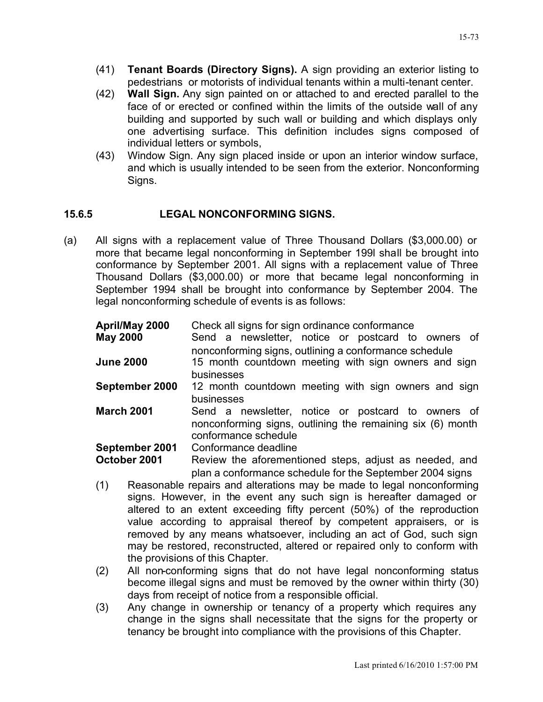- (41) **Tenant Boards (Directory Signs).** A sign providing an exterior listing to pedestrians or motorists of individual tenants within a multi-tenant center.
- (42) **Wall Sign.** Any sign painted on or attached to and erected parallel to the face of or erected or confined within the limits of the outside wall of any building and supported by such wall or building and which displays only one advertising surface. This definition includes signs composed of individual letters or symbols,
- (43) Window Sign. Any sign placed inside or upon an interior window surface, and which is usually intended to be seen from the exterior. Nonconforming Signs.

#### **15.6.5 LEGAL NONCONFORMING SIGNS.**

(a) All signs with a replacement value of Three Thousand Dollars (\$3,000.00) or more that became legal nonconforming in September 199l shall be brought into conformance by September 2001. All signs with a replacement value of Three Thousand Dollars (\$3,000.00) or more that became legal nonconforming in September 1994 shall be brought into conformance by September 2004. The legal nonconforming schedule of events is as follows:

| April/May 2000<br><b>May 2000</b> | Check all signs for sign ordinance conformance<br>Send a newsletter, notice or postcard to owners of<br>nonconforming signs, outlining a conformance schedule |
|-----------------------------------|---------------------------------------------------------------------------------------------------------------------------------------------------------------|
| <b>June 2000</b>                  | 15 month countdown meeting with sign owners and sign<br>businesses                                                                                            |
| September 2000                    | 12 month countdown meeting with sign owners and sign<br>businesses                                                                                            |
| <b>March 2001</b>                 | Send a newsletter, notice or postcard to owners of<br>nonconforming signs, outlining the remaining six (6) month<br>conformance schedule                      |
| September 2001                    | Conformance deadline                                                                                                                                          |
| October 2001                      | Review the aforementioned steps, adjust as needed, and<br>plan a conformance schedule for the September 2004 signs                                            |

- (1) Reasonable repairs and alterations may be made to legal nonconforming signs. However, in the event any such sign is hereafter damaged or altered to an extent exceeding fifty percent (50%) of the reproduction value according to appraisal thereof by competent appraisers, or is removed by any means whatsoever, including an act of God, such sign may be restored, reconstructed, altered or repaired only to conform with the provisions of this Chapter.
- (2) All non-conforming signs that do not have legal nonconforming status become illegal signs and must be removed by the owner within thirty (30) days from receipt of notice from a responsible official.
- (3) Any change in ownership or tenancy of a property which requires any change in the signs shall necessitate that the signs for the property or tenancy be brought into compliance with the provisions of this Chapter.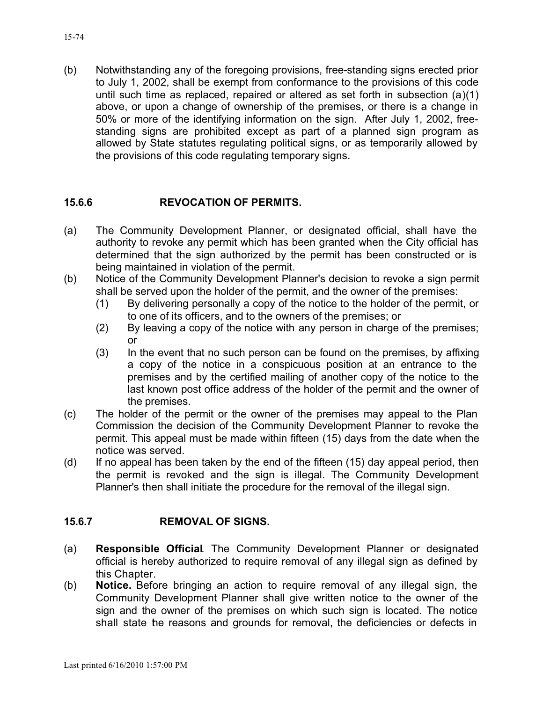(b) Notwithstanding any of the foregoing provisions, free-standing signs erected prior to July 1, 2002, shall be exempt from conformance to the provisions of this code until such time as replaced, repaired or altered as set forth in subsection (a)(1) above, or upon a change of ownership of the premises, or there is a change in 50% or more of the identifying information on the sign. After July 1, 2002, freestanding signs are prohibited except as part of a planned sign program as allowed by State statutes regulating political signs, or as temporarily allowed by the provisions of this code regulating temporary signs.

#### **15.6.6 REVOCATION OF PERMITS.**

- (a) The Community Development Planner, or designated official, shall have the authority to revoke any permit which has been granted when the City official has determined that the sign authorized by the permit has been constructed or is being maintained in violation of the permit.
- (b) Notice of the Community Development Planner's decision to revoke a sign permit shall be served upon the holder of the permit, and the owner of the premises:
	- (1) By delivering personally a copy of the notice to the holder of the permit, or to one of its officers, and to the owners of the premises; or
	- (2) By leaving a copy of the notice with any person in charge of the premises; or
	- (3) In the event that no such person can be found on the premises, by affixing a copy of the notice in a conspicuous position at an entrance to the premises and by the certified mailing of another copy of the notice to the last known post office address of the holder of the permit and the owner of the premises.
- (c) The holder of the permit or the owner of the premises may appeal to the Plan Commission the decision of the Community Development Planner to revoke the permit. This appeal must be made within fifteen (15) days from the date when the notice was served.
- (d) If no appeal has been taken by the end of the fifteen (15) day appeal period, then the permit is revoked and the sign is illegal. The Community Development Planner's then shall initiate the procedure for the removal of the illegal sign.

#### **15.6.7 REMOVAL OF SIGNS.**

- (a) **Responsible Official**. The Community Development Planner or designated official is hereby authorized to require removal of any illegal sign as defined by this Chapter.
- (b) **Notice.** Before bringing an action to require removal of any illegal sign, the Community Development Planner shall give written notice to the owner of the sign and the owner of the premises on which such sign is located. The notice shall state the reasons and grounds for removal, the deficiencies or defects in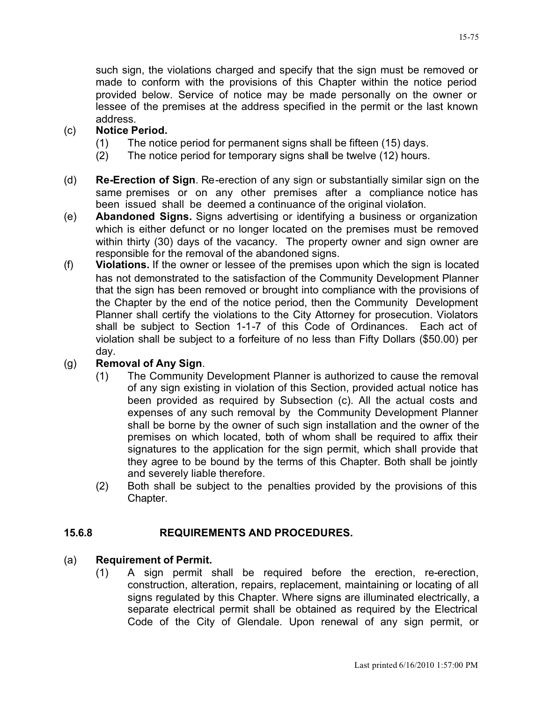such sign, the violations charged and specify that the sign must be removed or made to conform with the provisions of this Chapter within the notice period provided below. Service of notice may be made personally on the owner or lessee of the premises at the address specified in the permit or the last known address.

# (c) **Notice Period.**

- (1) The notice period for permanent signs shall be fifteen (15) days.
- (2) The notice period for temporary signs shall be twelve (12) hours.
- (d) **Re-Erection of Sign**. Re-erection of any sign or substantially similar sign on the same premises or on any other premises after a compliance notice has been issued shall be deemed a continuance of the original violation.
- (e) **Abandoned Signs.** Signs advertising or identifying a business or organization which is either defunct or no longer located on the premises must be removed within thirty (30) days of the vacancy. The property owner and sign owner are responsible for the removal of the abandoned signs.
- (f) **Violations.** If the owner or lessee of the premises upon which the sign is located has not demonstrated to the satisfaction of the Community Development Planner that the sign has been removed or brought into compliance with the provisions of the Chapter by the end of the notice period, then the Community Development Planner shall certify the violations to the City Attorney for prosecution. Violators shall be subject to Section 1-1-7 of this Code of Ordinances. Each act of violation shall be subject to a forfeiture of no less than Fifty Dollars (\$50.00) per day.

### (g) **Removal of Any Sign**.

- (1) The Community Development Planner is authorized to cause the removal of any sign existing in violation of this Section, provided actual notice has been provided as required by Subsection (c). All the actual costs and expenses of any such removal by the Community Development Planner shall be borne by the owner of such sign installation and the owner of the premises on which located, both of whom shall be required to affix their signatures to the application for the sign permit, which shall provide that they agree to be bound by the terms of this Chapter. Both shall be jointly and severely liable therefore.
- (2) Both shall be subject to the penalties provided by the provisions of this Chapter.

### **15.6.8 REQUIREMENTS AND PROCEDURES.**

#### (a) **Requirement of Permit.**

(1) A sign permit shall be required before the erection, re-erection, construction, alteration, repairs, replacement, maintaining or locating of all signs regulated by this Chapter. Where signs are illuminated electrically, a separate electrical permit shall be obtained as required by the Electrical Code of the City of Glendale. Upon renewal of any sign permit, or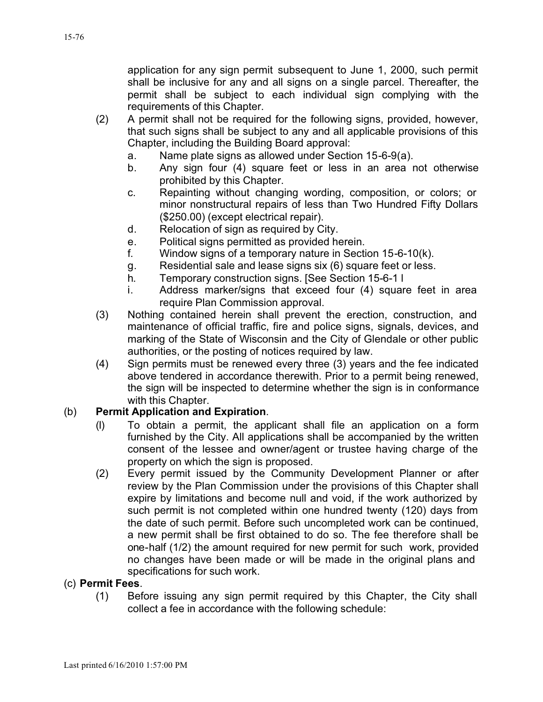application for any sign permit subsequent to June 1, 2000, such permit shall be inclusive for any and all signs on a single parcel. Thereafter, the permit shall be subject to each individual sign complying with the requirements of this Chapter.

- (2) A permit shall not be required for the following signs, provided, however, that such signs shall be subject to any and all applicable provisions of this Chapter, including the Building Board approval:
	- a. Name plate signs as allowed under Section 15-6-9(a).
	- b. Any sign four (4) square feet or less in an area not otherwise prohibited by this Chapter.
	- c. Repainting without changing wording, composition, or colors; or minor nonstructural repairs of less than Two Hundred Fifty Dollars (\$250.00) (except electrical repair).
	- d. Relocation of sign as required by City.
	- e. Political signs permitted as provided herein.
	- f. Window signs of a temporary nature in Section 15-6-10(k).
	- g. Residential sale and lease signs six (6) square feet or less.
	- h. Temporary construction signs. [See Section 15-6-1 l
	- i. Address marker/signs that exceed four (4) square feet in area require Plan Commission approval.
- (3) Nothing contained herein shall prevent the erection, construction, and maintenance of official traffic, fire and police signs, signals, devices, and marking of the State of Wisconsin and the City of Glendale or other public authorities, or the posting of notices required by law.
- (4) Sign permits must be renewed every three (3) years and the fee indicated above tendered in accordance therewith. Prior to a permit being renewed, the sign will be inspected to determine whether the sign is in conformance with this Chapter.

### (b) **Permit Application and Expiration**.

- (l) To obtain a permit, the applicant shall file an application on a form furnished by the City. All applications shall be accompanied by the written consent of the lessee and owner/agent or trustee having charge of the property on which the sign is proposed.
- (2) Every permit issued by the Community Development Planner or after review by the Plan Commission under the provisions of this Chapter shall expire by limitations and become null and void, if the work authorized by such permit is not completed within one hundred twenty (120) days from the date of such permit. Before such uncompleted work can be continued, a new permit shall be first obtained to do so. The fee therefore shall be one-half (1/2) the amount required for new permit for such work, provided no changes have been made or will be made in the original plans and specifications for such work.

#### (c) **Permit Fees**.

(1) Before issuing any sign permit required by this Chapter, the City shall collect a fee in accordance with the following schedule: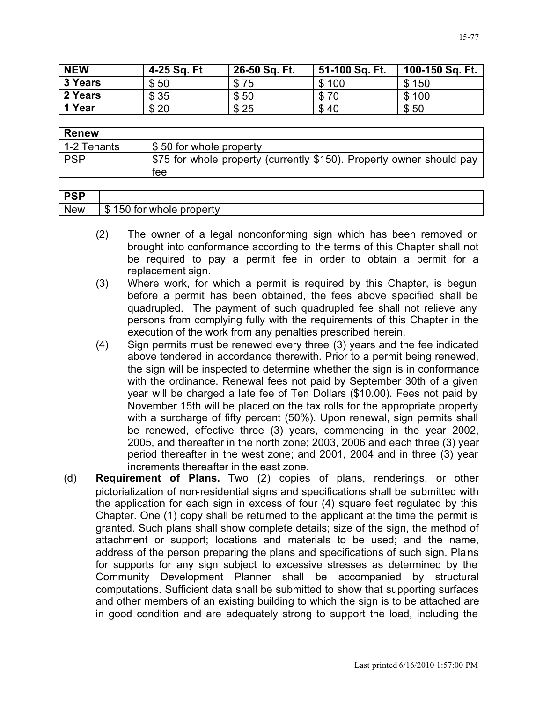| <b>NEW</b> | 4-25 Sq. Ft | 26-50 Sq. Ft. | 51-100 Sq. Ft. | 100-150 Sq. Ft. |
|------------|-------------|---------------|----------------|-----------------|
| 3 Years    | \$50        | \$75          | \$100          | \$150           |
| 2 Years    | \$35        | \$50          | \$70           | \$100           |
| 1 Year     | \$20        | \$25          | \$40           | \$50            |

| <b>Renew</b> |                                                                             |
|--------------|-----------------------------------------------------------------------------|
| 1-2 Tenants  | \$50 for whole property                                                     |
| <b>PSP</b>   | \$75 for whole property (currently \$150). Property owner should pay<br>tee |

| <b>DOD</b><br>U. |                                            |
|------------------|--------------------------------------------|
| <b>New</b>       | ⋒<br>pperty<br>וחז<br>wno<br>ŦН<br>ж<br>۰D |

- (2) The owner of a legal nonconforming sign which has been removed or brought into conformance according to the terms of this Chapter shall not be required to pay a permit fee in order to obtain a permit for a replacement sign.
- (3) Where work, for which a permit is required by this Chapter, is begun before a permit has been obtained, the fees above specified shall be quadrupled. The payment of such quadrupled fee shall not relieve any persons from complying fully with the requirements of this Chapter in the execution of the work from any penalties prescribed herein.
- (4) Sign permits must be renewed every three (3) years and the fee indicated above tendered in accordance therewith. Prior to a permit being renewed, the sign will be inspected to determine whether the sign is in conformance with the ordinance. Renewal fees not paid by September 30th of a given year will be charged a late fee of Ten Dollars (\$10.00). Fees not paid by November 15th will be placed on the tax rolls for the appropriate property with a surcharge of fifty percent (50%). Upon renewal, sign permits shall be renewed, effective three (3) years, commencing in the year 2002, 2005, and thereafter in the north zone; 2003, 2006 and each three (3) year period thereafter in the west zone; and 2001, 2004 and in three (3) year increments thereafter in the east zone.
- (d) **Requirement of Plans.** Two (2) copies of plans, renderings, or other pictorialization of non-residential signs and specifications shall be submitted with the application for each sign in excess of four (4) square feet regulated by this Chapter. One (1) copy shall be returned to the applicant at the time the permit is granted. Such plans shall show complete details; size of the sign, the method of attachment or support; locations and materials to be used; and the name, address of the person preparing the plans and specifications of such sign. Plans for supports for any sign subject to excessive stresses as determined by the Community Development Planner shall be accompanied by structural computations. Sufficient data shall be submitted to show that supporting surfaces and other members of an existing building to which the sign is to be attached are in good condition and are adequately strong to support the load, including the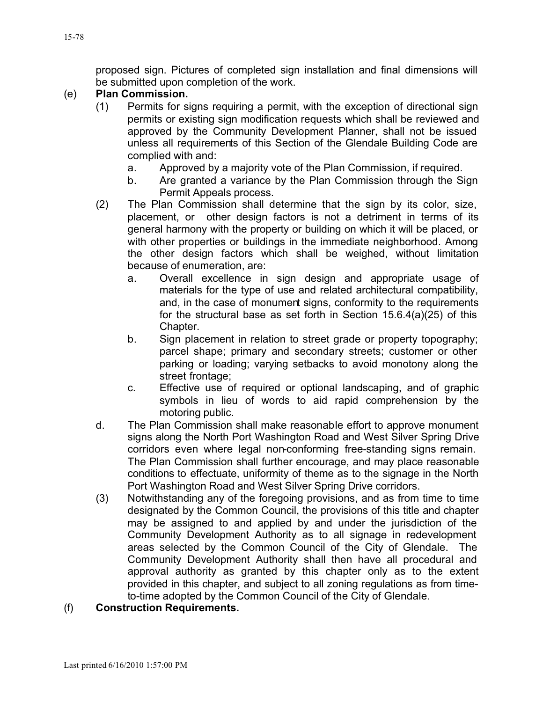proposed sign. Pictures of completed sign installation and final dimensions will be submitted upon completion of the work.

### (e) **Plan Commission.**

- (1) Permits for signs requiring a permit, with the exception of directional sign permits or existing sign modification requests which shall be reviewed and approved by the Community Development Planner, shall not be issued unless all requirements of this Section of the Glendale Building Code are complied with and:
	- a. Approved by a majority vote of the Plan Commission, if required.
	- b. Are granted a variance by the Plan Commission through the Sign Permit Appeals process.
- (2) The Plan Commission shall determine that the sign by its color, size, placement, or other design factors is not a detriment in terms of its general harmony with the property or building on which it will be placed, or with other properties or buildings in the immediate neighborhood. Among the other design factors which shall be weighed, without limitation because of enumeration, are:
	- a. Overall excellence in sign design and appropriate usage of materials for the type of use and related architectural compatibility, and, in the case of monument signs, conformity to the requirements for the structural base as set forth in Section 15.6.4(a)(25) of this Chapter.
	- b. Sign placement in relation to street grade or property topography; parcel shape; primary and secondary streets; customer or other parking or loading; varying setbacks to avoid monotony along the street frontage;
	- c. Effective use of required or optional landscaping, and of graphic symbols in lieu of words to aid rapid comprehension by the motoring public.
- d. The Plan Commission shall make reasonable effort to approve monument signs along the North Port Washington Road and West Silver Spring Drive corridors even where legal non-conforming free-standing signs remain. The Plan Commission shall further encourage, and may place reasonable conditions to effectuate, uniformity of theme as to the signage in the North Port Washington Road and West Silver Spring Drive corridors.
- (3) Notwithstanding any of the foregoing provisions, and as from time to time designated by the Common Council, the provisions of this title and chapter may be assigned to and applied by and under the jurisdiction of the Community Development Authority as to all signage in redevelopment areas selected by the Common Council of the City of Glendale. The Community Development Authority shall then have all procedural and approval authority as granted by this chapter only as to the extent provided in this chapter, and subject to all zoning regulations as from timeto-time adopted by the Common Council of the City of Glendale.
- (f) **Construction Requirements.**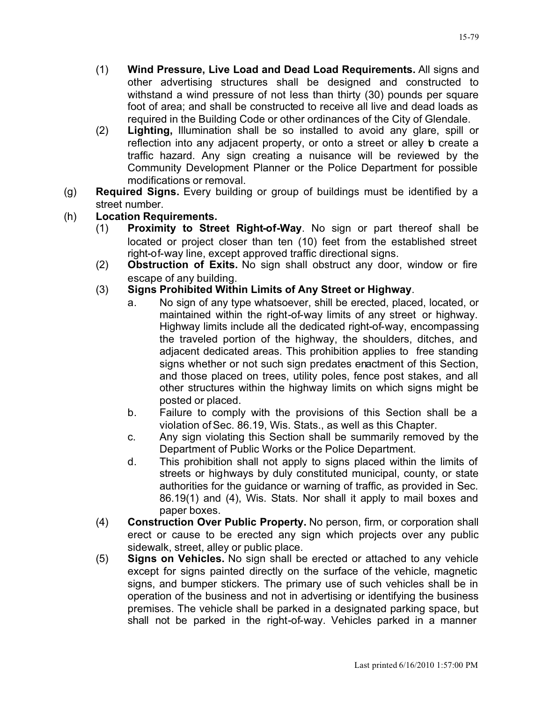- (1) **Wind Pressure, Live Load and Dead Load Requirements.** All signs and other advertising structures shall be designed and constructed to withstand a wind pressure of not less than thirty (30) pounds per square foot of area; and shall be constructed to receive all live and dead loads as required in the Building Code or other ordinances of the City of Glendale.
- (2) **Lighting,** Illumination shall be so installed to avoid any glare, spill or reflection into any adjacent property, or onto a street or alley **b** create a traffic hazard. Any sign creating a nuisance will be reviewed by the Community Development Planner or the Police Department for possible modifications or removal.
- (g) **Required Signs.** Every building or group of buildings must be identified by a street number.
- (h) **Location Requirements.**
	- (1) **Proximity to Street Right-of-Way**. No sign or part thereof shall be located or project closer than ten (10) feet from the established street right-of-way line, except approved traffic directional signs.
	- (2) **Obstruction of Exits.** No sign shall obstruct any door, window or fire escape of any building.
	- (3) **Signs Prohibited Within Limits of Any Street or Highway**.
		- a. No sign of any type whatsoever, shill be erected, placed, located, or maintained within the right-of-way limits of any street or highway. Highway limits include all the dedicated right-of-way, encompassing the traveled portion of the highway, the shoulders, ditches, and adjacent dedicated areas. This prohibition applies to free standing signs whether or not such sign predates enactment of this Section, and those placed on trees, utility poles, fence post stakes, and all other structures within the highway limits on which signs might be posted or placed.
		- b. Failure to comply with the provisions of this Section shall be a violation of Sec. 86.19, Wis. Stats., as well as this Chapter.
		- c. Any sign violating this Section shall be summarily removed by the Department of Public Works or the Police Department.
		- d. This prohibition shall not apply to signs placed within the limits of streets or highways by duly constituted municipal, county, or state authorities for the guidance or warning of traffic, as provided in Sec. 86.19(1) and (4), Wis. Stats. Nor shall it apply to mail boxes and paper boxes.
	- (4) **Construction Over Public Property.** No person, firm, or corporation shall erect or cause to be erected any sign which projects over any public sidewalk, street, alley or public place.
	- (5) **Signs on Vehicles.** No sign shall be erected or attached to any vehicle except for signs painted directly on the surface of the vehicle, magnetic signs, and bumper stickers. The primary use of such vehicles shall be in operation of the business and not in advertising or identifying the business premises. The vehicle shall be parked in a designated parking space, but shall not be parked in the right-of-way. Vehicles parked in a manner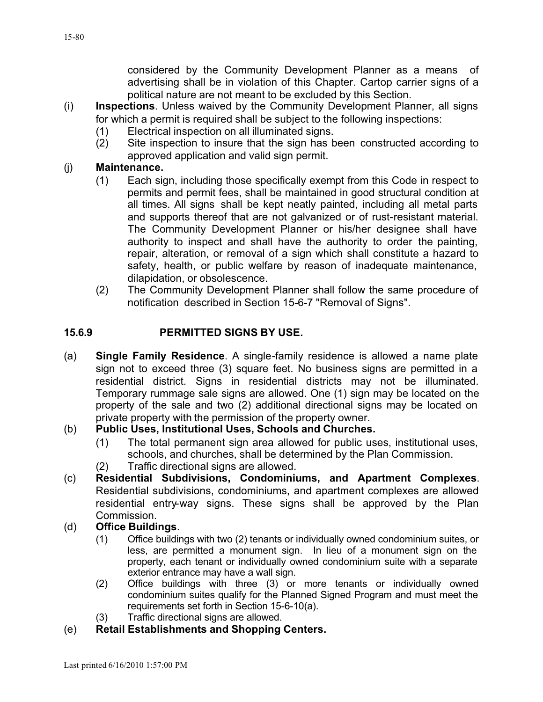considered by the Community Development Planner as a means of advertising shall be in violation of this Chapter. Cartop carrier signs of a political nature are not meant to be excluded by this Section.

- (i) **Inspections**. Unless waived by the Community Development Planner, all signs for which a permit is required shall be subject to the following inspections:
	- (1) Electrical inspection on all illuminated signs.
	- (2) Site inspection to insure that the sign has been constructed according to approved application and valid sign permit.

#### (j) **Maintenance.**

- (1) Each sign, including those specifically exempt from this Code in respect to permits and permit fees, shall be maintained in good structural condition at all times. All signs shall be kept neatly painted, including all metal parts and supports thereof that are not galvanized or of rust-resistant material. The Community Development Planner or his/her designee shall have authority to inspect and shall have the authority to order the painting, repair, alteration, or removal of a sign which shall constitute a hazard to safety, health, or public welfare by reason of inadequate maintenance, dilapidation, or obsolescence.
- (2) The Community Development Planner shall follow the same procedure of notification described in Section 15-6-7 "Removal of Signs".

#### **15.6.9 PERMITTED SIGNS BY USE.**

(a) **Single Family Residence**. A single-family residence is allowed a name plate sign not to exceed three (3) square feet. No business signs are permitted in a residential district. Signs in residential districts may not be illuminated. Temporary rummage sale signs are allowed. One (1) sign may be located on the property of the sale and two (2) additional directional signs may be located on private property with the permission of the property owner.

#### (b) **Public Uses, Institutional Uses, Schools and Churches.**

- (1) The total permanent sign area allowed for public uses, institutional uses, schools, and churches, shall be determined by the Plan Commission.
- (2) Traffic directional signs are allowed.
- (c) **Residential Subdivisions, Condominiums, and Apartment Complexes**. Residential subdivisions, condominiums, and apartment complexes are allowed residential entry-way signs. These signs shall be approved by the Plan Commission.

#### (d) **Office Buildings**.

- (1) Office buildings with two (2) tenants or individually owned condominium suites, or less, are permitted a monument sign. In lieu of a monument sign on the property, each tenant or individually owned condominium suite with a separate exterior entrance may have a wall sign.
- (2) Office buildings with three (3) or more tenants or individually owned condominium suites qualify for the Planned Signed Program and must meet the requirements set forth in Section 15-6-10(a).
- (3) Traffic directional signs are allowed.
- (e) **Retail Establishments and Shopping Centers.**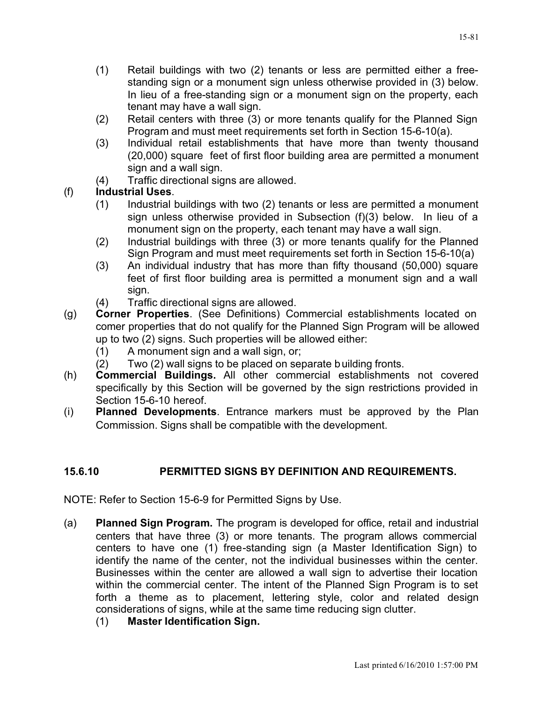- (1) Retail buildings with two (2) tenants or less are permitted either a freestanding sign or a monument sign unless otherwise provided in (3) below. In lieu of a free-standing sign or a monument sign on the property, each tenant may have a wall sign.
- (2) Retail centers with three (3) or more tenants qualify for the Planned Sign Program and must meet requirements set forth in Section 15-6-10(a).
- (3) Individual retail establishments that have more than twenty thousand (20,000) square feet of first floor building area are permitted a monument sign and a wall sign.
- (4) Traffic directional signs are allowed.

# (f) **Industrial Uses**.

- (1) Industrial buildings with two (2) tenants or less are permitted a monument sign unless otherwise provided in Subsection (f)(3) below. In lieu of a monument sign on the property, each tenant may have a wall sign.
- (2) Industrial buildings with three (3) or more tenants qualify for the Planned Sign Program and must meet requirements set forth in Section 15-6-10(a)
- (3) An individual industry that has more than fifty thousand (50,000) square feet of first floor building area is permitted a monument sign and a wall sign.
- (4) Traffic directional signs are allowed.
- (g) **Corner Properties**. (See Definitions) Commercial establishments located on comer properties that do not qualify for the Planned Sign Program will be allowed up to two (2) signs. Such properties will be allowed either:
	- (1) A monument sign and a wall sign, or;
	- (2) Two (2) wall signs to be placed on separate building fronts.
- (h) **Commercial Buildings.** All other commercial establishments not covered specifically by this Section will be governed by the sign restrictions provided in Section 15-6-10 hereof.
- (i) **Planned Developments**. Entrance markers must be approved by the Plan Commission. Signs shall be compatible with the development.

# **15.6.10 PERMITTED SIGNS BY DEFINITION AND REQUIREMENTS.**

NOTE: Refer to Section 15-6-9 for Permitted Signs by Use.

- (a) **Planned Sign Program.** The program is developed for office, retail and industrial centers that have three (3) or more tenants. The program allows commercial centers to have one (1) free-standing sign (a Master Identification Sign) to identify the name of the center, not the individual businesses within the center. Businesses within the center are allowed a wall sign to advertise their location within the commercial center. The intent of the Planned Sign Program is to set forth a theme as to placement, lettering style, color and related design considerations of signs, while at the same time reducing sign clutter.
	- (1) **Master Identification Sign.**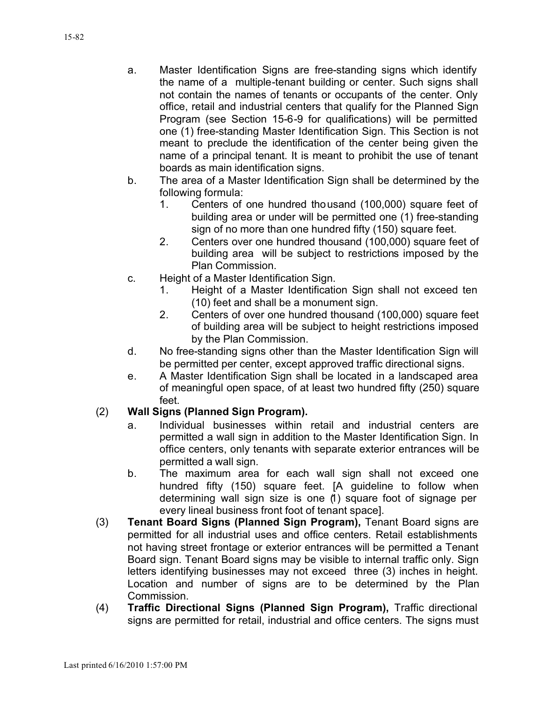- a. Master Identification Signs are free-standing signs which identify the name of a multiple-tenant building or center. Such signs shall not contain the names of tenants or occupants of the center. Only office, retail and industrial centers that qualify for the Planned Sign Program (see Section 15-6-9 for qualifications) will be permitted one (1) free-standing Master Identification Sign. This Section is not meant to preclude the identification of the center being given the name of a principal tenant. It is meant to prohibit the use of tenant boards as main identification signs.
- b. The area of a Master Identification Sign shall be determined by the following formula:
	- 1. Centers of one hundred thousand (100,000) square feet of building area or under will be permitted one (1) free-standing sign of no more than one hundred fifty (150) square feet.
	- 2. Centers over one hundred thousand (100,000) square feet of building area will be subject to restrictions imposed by the Plan Commission.
- c. Height of a Master Identification Sign.
	- 1. Height of a Master Identification Sign shall not exceed ten (10) feet and shall be a monument sign.
	- 2. Centers of over one hundred thousand (100,000) square feet of building area will be subject to height restrictions imposed by the Plan Commission.
- d. No free-standing signs other than the Master Identification Sign will be permitted per center, except approved traffic directional signs.
- e. A Master Identification Sign shall be located in a landscaped area of meaningful open space, of at least two hundred fifty (250) square feet.

### (2) **Wall Signs (Planned Sign Program).**

- a. Individual businesses within retail and industrial centers are permitted a wall sign in addition to the Master Identification Sign. In office centers, only tenants with separate exterior entrances will be permitted a wall sign.
- b. The maximum area for each wall sign shall not exceed one hundred fifty (150) square feet. [A guideline to follow when determining wall sign size is one (1) square foot of signage per every lineal business front foot of tenant space].
- (3) **Tenant Board Signs (Planned Sign Program),** Tenant Board signs are permitted for all industrial uses and office centers. Retail establishments not having street frontage or exterior entrances will be permitted a Tenant Board sign. Tenant Board signs may be visible to internal traffic only. Sign letters identifying businesses may not exceed three (3) inches in height. Location and number of signs are to be determined by the Plan Commission.
- (4) **Traffic Directional Signs (Planned Sign Program),** Traffic directional signs are permitted for retail, industrial and office centers. The signs must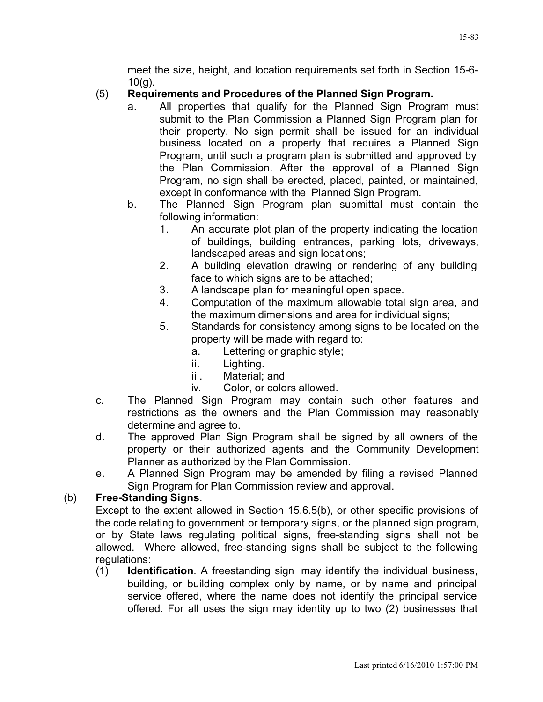meet the size, height, and location requirements set forth in Section 15-6-  $10(g)$ .

### (5) **Requirements and Procedures of the Planned Sign Program.**

- a. All properties that qualify for the Planned Sign Program must submit to the Plan Commission a Planned Sign Program plan for their property. No sign permit shall be issued for an individual business located on a property that requires a Planned Sign Program, until such a program plan is submitted and approved by the Plan Commission. After the approval of a Planned Sign Program, no sign shall be erected, placed, painted, or maintained, except in conformance with the Planned Sign Program.
- b. The Planned Sign Program plan submittal must contain the following information:
	- 1. An accurate plot plan of the property indicating the location of buildings, building entrances, parking lots, driveways, landscaped areas and sign locations;
	- 2. A building elevation drawing or rendering of any building face to which signs are to be attached;
	- 3. A landscape plan for meaningful open space.
	- 4. Computation of the maximum allowable total sign area, and the maximum dimensions and area for individual signs;
	- 5. Standards for consistency among signs to be located on the property will be made with regard to:
		- a. Lettering or graphic style;
		- ii. Lighting.
		- iii. Material; and
		- iv. Color, or colors allowed.
- c. The Planned Sign Program may contain such other features and restrictions as the owners and the Plan Commission may reasonably determine and agree to.
- d. The approved Plan Sign Program shall be signed by all owners of the property or their authorized agents and the Community Development Planner as authorized by the Plan Commission.
- e. A Planned Sign Program may be amended by filing a revised Planned Sign Program for Plan Commission review and approval.

### (b) **Free-Standing Signs**.

Except to the extent allowed in Section 15.6.5(b), or other specific provisions of the code relating to government or temporary signs, or the planned sign program, or by State laws regulating political signs, free-standing signs shall not be allowed. Where allowed, free-standing signs shall be subject to the following regulations:

(1) **Identification**. A freestanding sign may identify the individual business, building, or building complex only by name, or by name and principal service offered, where the name does not identify the principal service offered. For all uses the sign may identity up to two (2) businesses that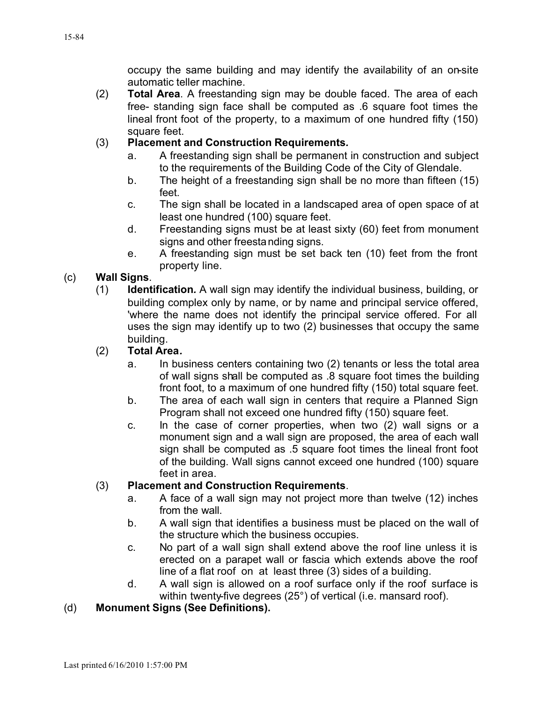occupy the same building and may identify the availability of an on-site automatic teller machine.

(2) **Total Area**. A freestanding sign may be double faced. The area of each free- standing sign face shall be computed as .6 square foot times the lineal front foot of the property, to a maximum of one hundred fifty (150) square feet.

### (3) **Placement and Construction Requirements***.*

- a. A freestanding sign shall be permanent in construction and subject to the requirements of the Building Code of the City of Glendale.
- b. The height of a freestanding sign shall be no more than fifteen (15) feet.
- c. The sign shall be located in a landscaped area of open space of at least one hundred (100) square feet.
- d. Freestanding signs must be at least sixty (60) feet from monument signs and other freestanding signs.
- e. A freestanding sign must be set back ten (10) feet from the front property line.

# (c) **Wall Signs**.

(1) **Identification***.* A wall sign may identify the individual business, building, or building complex only by name, or by name and principal service offered, 'where the name does not identify the principal service offered. For all uses the sign may identify up to two (2) businesses that occupy the same building.

# (2) **Total Area***.*

- a. In business centers containing two (2) tenants or less the total area of wall signs shall be computed as .8 square foot times the building front foot, to a maximum of one hundred fifty (150) total square feet.
- b. The area of each wall sign in centers that require a Planned Sign Program shall not exceed one hundred fifty (150) square feet.
- c. In the case of corner properties, when two (2) wall signs or a monument sign and a wall sign are proposed, the area of each wall sign shall be computed as .5 square foot times the lineal front foot of the building. Wall signs cannot exceed one hundred (100) square feet in area.

### (3) **Placement and Construction Requirements**.

- a. A face of a wall sign may not project more than twelve (12) inches from the wall.
- b. A wall sign that identifies a business must be placed on the wall of the structure which the business occupies.
- c. No part of a wall sign shall extend above the roof line unless it is erected on a parapet wall or fascia which extends above the roof line of a flat roof on at least three (3) sides of a building.
- d. A wall sign is allowed on a roof surface only if the roof surface is within twenty-five degrees (25°) of vertical (i.e. mansard roof).

# (d) **Monument Signs (See Definitions).**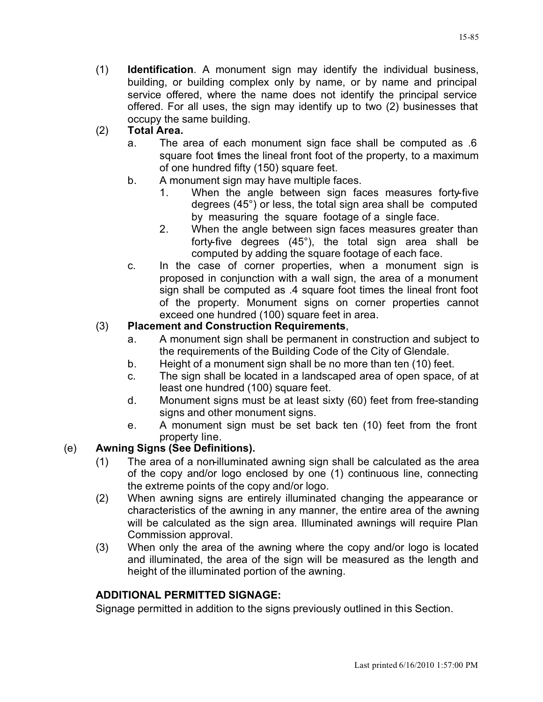(1) **Identification**. A monument sign may identify the individual business, building, or building complex only by name, or by name and principal service offered, where the name does not identify the principal service offered. For all uses, the sign may identify up to two (2) businesses that occupy the same building.

# (2) **Total Area.**

- a. The area of each monument sign face shall be computed as .6 square foot times the lineal front foot of the property, to a maximum of one hundred fifty (150) square feet.
- b. A monument sign may have multiple faces.
	- 1. When the angle between sign faces measures forty-five degrees (45°) or less, the total sign area shall be computed by measuring the square footage of a single face.
	- 2. When the angle between sign faces measures greater than forty-five degrees (45°), the total sign area shall be computed by adding the square footage of each face.
- c. In the case of corner properties, when a monument sign is proposed in conjunction with a wall sign, the area of a monument sign shall be computed as .4 square foot times the lineal front foot of the property. Monument signs on corner properties cannot exceed one hundred (100) square feet in area.

# (3) **Placement and Construction Requirements**,

- a. A monument sign shall be permanent in construction and subject to the requirements of the Building Code of the City of Glendale.
- b. Height of a monument sign shall be no more than ten (10) feet.
- c. The sign shall be located in a landscaped area of open space, of at least one hundred (100) square feet.
- d. Monument signs must be at least sixty (60) feet from free-standing signs and other monument signs.
- e. A monument sign must be set back ten (10) feet from the front property line.

### (e) **Awning Signs (See Definitions).**

- (1) The area of a non-illuminated awning sign shall be calculated as the area of the copy and/or logo enclosed by one (1) continuous line, connecting the extreme points of the copy and/or logo.
- (2) When awning signs are entirely illuminated changing the appearance or characteristics of the awning in any manner, the entire area of the awning will be calculated as the sign area. Illuminated awnings will require Plan Commission approval.
- (3) When only the area of the awning where the copy and/or logo is located and illuminated, the area of the sign will be measured as the length and height of the illuminated portion of the awning.

### **ADDITIONAL PERMITTED SIGNAGE:**

Signage permitted in addition to the signs previously outlined in this Section.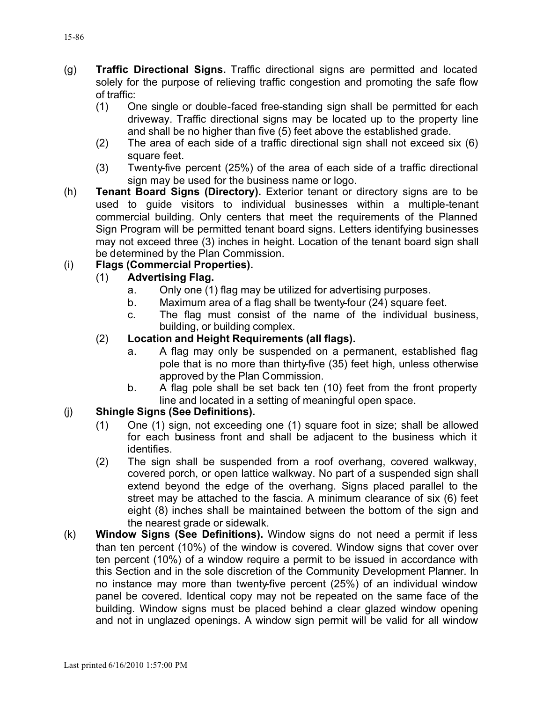- (g) **Traffic Directional Signs.** Traffic directional signs are permitted and located solely for the purpose of relieving traffic congestion and promoting the safe flow of traffic:
	- (1) One single or double-faced free-standing sign shall be permitted for each driveway. Traffic directional signs may be located up to the property line and shall be no higher than five (5) feet above the established grade.
	- (2) The area of each side of a traffic directional sign shall not exceed six (6) square feet.
	- (3) Twenty-five percent (25%) of the area of each side of a traffic directional sign may be used for the business name or logo.
- (h) **Tenant Board Signs (Directory).** Exterior tenant or directory signs are to be used to guide visitors to individual businesses within a multiple-tenant commercial building. Only centers that meet the requirements of the Planned Sign Program will be permitted tenant board signs. Letters identifying businesses may not exceed three (3) inches in height. Location of the tenant board sign shall be determined by the Plan Commission.

# (i) **Flags (Commercial Properties).**

### (1) **Advertising Flag.**

- a. Only one (1) flag may be utilized for advertising purposes.
- b. Maximum area of a flag shall be twenty-four (24) square feet.
- c. The flag must consist of the name of the individual business, building, or building complex.

# (2) **Location and Height Requirements (all flags).**

- a. A flag may only be suspended on a permanent, established flag pole that is no more than thirty-five (35) feet high, unless otherwise approved by the Plan Commission.
- b. A flag pole shall be set back ten (10) feet from the front property line and located in a setting of meaningful open space.

### (j) **Shingle Signs (See Definitions).**

- (1) One (1) sign, not exceeding one (1) square foot in size; shall be allowed for each business front and shall be adjacent to the business which it identifies.
- (2) The sign shall be suspended from a roof overhang, covered walkway, covered porch, or open lattice walkway. No part of a suspended sign shall extend beyond the edge of the overhang. Signs placed parallel to the street may be attached to the fascia. A minimum clearance of six (6) feet eight (8) inches shall be maintained between the bottom of the sign and the nearest grade or sidewalk.
- (k) **Window Signs (See Definitions).** Window signs do not need a permit if less than ten percent (10%) of the window is covered. Window signs that cover over ten percent (10%) of a window require a permit to be issued in accordance with this Section and in the sole discretion of the Community Development Planner. In no instance may more than twenty-five percent (25%) of an individual window panel be covered. Identical copy may not be repeated on the same face of the building. Window signs must be placed behind a clear glazed window opening and not in unglazed openings. A window sign permit will be valid for all window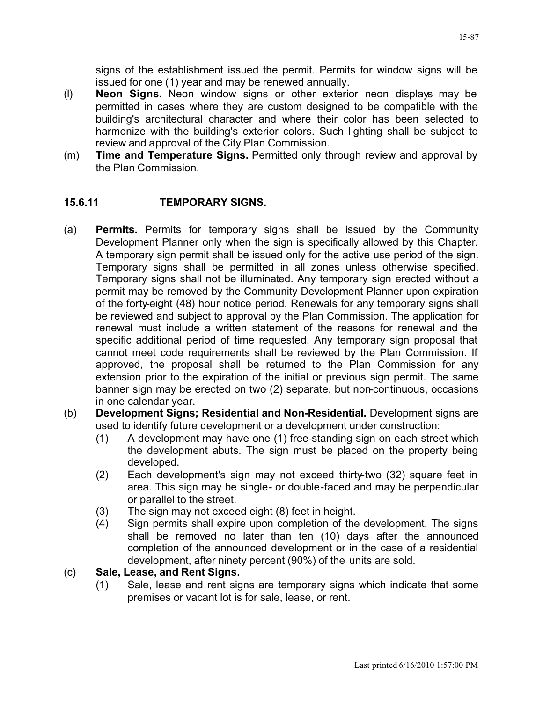signs of the establishment issued the permit. Permits for window signs will be issued for one (1) year and may be renewed annually.

- (l) **Neon Signs.** Neon window signs or other exterior neon displays may be permitted in cases where they are custom designed to be compatible with the building's architectural character and where their color has been selected to harmonize with the building's exterior colors. Such lighting shall be subject to review and approval of the City Plan Commission.
- (m) **Time and Temperature Signs.** Permitted only through review and approval by the Plan Commission.

### **15.6.11 TEMPORARY SIGNS.**

- (a) **Permits.** Permits for temporary signs shall be issued by the Community Development Planner only when the sign is specifically allowed by this Chapter. A temporary sign permit shall be issued only for the active use period of the sign. Temporary signs shall be permitted in all zones unless otherwise specified. Temporary signs shall not be illuminated. Any temporary sign erected without a permit may be removed by the Community Development Planner upon expiration of the forty-eight (48) hour notice period. Renewals for any temporary signs shall be reviewed and subject to approval by the Plan Commission. The application for renewal must include a written statement of the reasons for renewal and the specific additional period of time requested. Any temporary sign proposal that cannot meet code requirements shall be reviewed by the Plan Commission. If approved, the proposal shall be returned to the Plan Commission for any extension prior to the expiration of the initial or previous sign permit. The same banner sign may be erected on two (2) separate, but non-continuous, occasions in one calendar year.
- (b) **Development Signs; Residential and Non-Residential.** Development signs are used to identify future development or a development under construction:
	- (1) A development may have one (1) free-standing sign on each street which the development abuts. The sign must be placed on the property being developed.
	- (2) Each development's sign may not exceed thirty-two (32) square feet in area. This sign may be single- or double-faced and may be perpendicular or parallel to the street.
	- (3) The sign may not exceed eight (8) feet in height.
	- (4) Sign permits shall expire upon completion of the development. The signs shall be removed no later than ten (10) days after the announced completion of the announced development or in the case of a residential development, after ninety percent (90%) of the units are sold.
- (c) **Sale, Lease, and Rent Signs.**
	- (1) Sale, lease and rent signs are temporary signs which indicate that some premises or vacant lot is for sale, lease, or rent.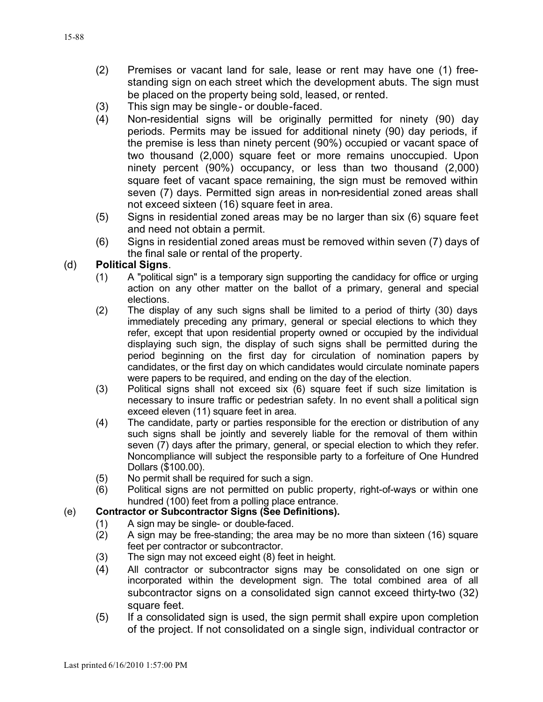- (2) Premises or vacant land for sale, lease or rent may have one (1) freestanding sign on each street which the development abuts. The sign must be placed on the property being sold, leased, or rented.
- (3) This sign may be single- or double-faced.
- (4) Non-residential signs will be originally permitted for ninety (90) day periods. Permits may be issued for additional ninety (90) day periods, if the premise is less than ninety percent (90%) occupied or vacant space of two thousand (2,000) square feet or more remains unoccupied. Upon ninety percent (90%) occupancy, or less than two thousand (2,000) square feet of vacant space remaining, the sign must be removed within seven (7) days. Permitted sign areas in non-residential zoned areas shall not exceed sixteen (16) square feet in area.
- (5) Signs in residential zoned areas may be no larger than six (6) square feet and need not obtain a permit.
- (6) Signs in residential zoned areas must be removed within seven (7) days of the final sale or rental of the property.

### (d) **Political Signs**.

- (1) A "political sign" is a temporary sign supporting the candidacy for office or urging action on any other matter on the ballot of a primary, general and special elections.
- (2) The display of any such signs shall be limited to a period of thirty (30) days immediately preceding any primary, general or special elections to which they refer, except that upon residential property owned or occupied by the individual displaying such sign, the display of such signs shall be permitted during the period beginning on the first day for circulation of nomination papers by candidates, or the first day on which candidates would circulate nominate papers were papers to be required, and ending on the day of the election.
- (3) Political signs shall not exceed six (6) square feet if such size limitation is necessary to insure traffic or pedestrian safety. In no event shall a political sign exceed eleven (11) square feet in area.
- (4) The candidate, party or parties responsible for the erection or distribution of any such signs shall be jointly and severely liable for the removal of them within seven (7) days after the primary, general, or special election to which they refer. Noncompliance will subject the responsible party to a forfeiture of One Hundred Dollars (\$100.00).
- (5) No permit shall be required for such a sign.
- (6) Political signs are not permitted on public property, right-of-ways or within one hundred (100) feet from a polling place entrance.

### (e) **Contractor or Subcontractor Signs (See Definitions).**

- (1) A sign may be single- or double-faced.
- (2) A sign may be free-standing; the area may be no more than sixteen (16) square feet per contractor or subcontractor.
- (3) The sign may not exceed eight (8) feet in height.
- (4) All contractor or subcontractor signs may be consolidated on one sign or incorporated within the development sign. The total combined area of all subcontractor signs on a consolidated sign cannot exceed thirty-two (32) square feet.
- (5) If a consolidated sign is used, the sign permit shall expire upon completion of the project. If not consolidated on a single sign, individual contractor or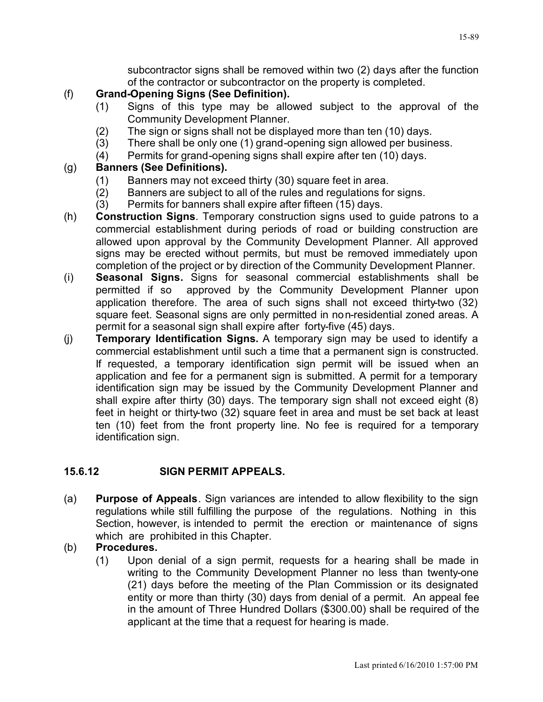subcontractor signs shall be removed within two (2) days after the function of the contractor or subcontractor on the property is completed.

# (f) **Grand-Opening Signs (See Definition).**

- (1) Signs of this type may be allowed subject to the approval of the Community Development Planner.
- (2) The sign or signs shall not be displayed more than ten (10) days.
- (3) There shall be only one (1) grand-opening sign allowed per business.
- (4) Permits for grand-opening signs shall expire after ten (10) days.

# (g) **Banners (See Definitions).**

- (1) Banners may not exceed thirty (30) square feet in area.
- (2) Banners are subject to all of the rules and regulations for signs.
- (3) Permits for banners shall expire after fifteen (15) days.
- (h) **Construction Signs**. Temporary construction signs used to guide patrons to a commercial establishment during periods of road or building construction are allowed upon approval by the Community Development Planner. All approved signs may be erected without permits, but must be removed immediately upon completion of the project or by direction of the Community Development Planner.
- (i) **Seasonal Signs.** Signs for seasonal commercial establishments shall be permitted if so approved by the Community Development Planner upon application therefore. The area of such signs shall not exceed thirty-two (32) square feet. Seasonal signs are only permitted in non-residential zoned areas. A permit for a seasonal sign shall expire after forty-five (45) days.
- (j) **Temporary Identification Signs.** A temporary sign may be used to identify a commercial establishment until such a time that a permanent sign is constructed. If requested, a temporary identification sign permit will be issued when an application and fee for a permanent sign is submitted. A permit for a temporary identification sign may be issued by the Community Development Planner and shall expire after thirty (30) days. The temporary sign shall not exceed eight (8) feet in height or thirty-two (32) square feet in area and must be set back at least ten (10) feet from the front property line. No fee is required for a temporary identification sign.

# **15.6.12 SIGN PERMIT APPEALS.**

(a) **Purpose of Appeals**. Sign variances are intended to allow flexibility to the sign regulations while still fulfilling the purpose of the regulations. Nothing in this Section, however, is intended to permit the erection or maintenance of signs which are prohibited in this Chapter.

### (b) **Procedures.**

(1) Upon denial of a sign permit, requests for a hearing shall be made in writing to the Community Development Planner no less than twenty-one (21) days before the meeting of the Plan Commission or its designated entity or more than thirty (30) days from denial of a permit. An appeal fee in the amount of Three Hundred Dollars (\$300.00) shall be required of the applicant at the time that a request for hearing is made.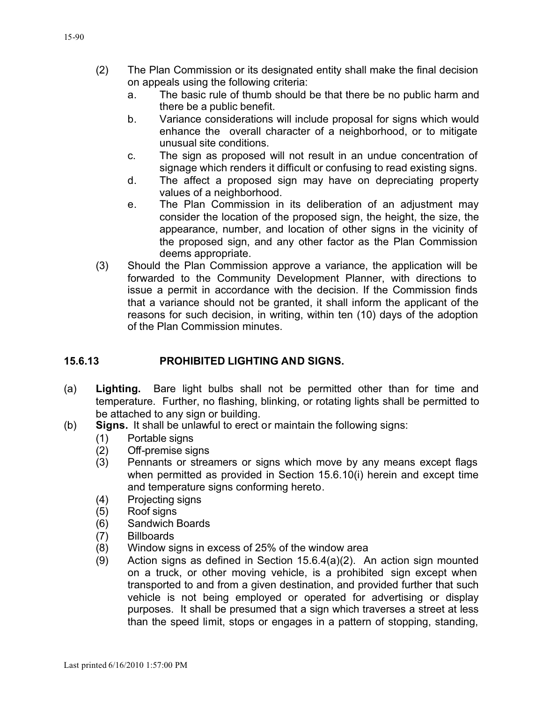- (2) The Plan Commission or its designated entity shall make the final decision on appeals using the following criteria:
	- a. The basic rule of thumb should be that there be no public harm and there be a public benefit.
	- b. Variance considerations will include proposal for signs which would enhance the overall character of a neighborhood, or to mitigate unusual site conditions.
	- c. The sign as proposed will not result in an undue concentration of signage which renders it difficult or confusing to read existing signs.
	- d. The affect a proposed sign may have on depreciating property values of a neighborhood.
	- e. The Plan Commission in its deliberation of an adjustment may consider the location of the proposed sign, the height, the size, the appearance, number, and location of other signs in the vicinity of the proposed sign, and any other factor as the Plan Commission deems appropriate.
- (3) Should the Plan Commission approve a variance, the application will be forwarded to the Community Development Planner, with directions to issue a permit in accordance with the decision. If the Commission finds that a variance should not be granted, it shall inform the applicant of the reasons for such decision, in writing, within ten (10) days of the adoption of the Plan Commission minutes.

### **15.6.13 PROHIBITED LIGHTING AND SIGNS.**

- (a) **Lighting.** Bare light bulbs shall not be permitted other than for time and temperature. Further, no flashing, blinking, or rotating lights shall be permitted to be attached to any sign or building.
- (b) **Signs.** It shall be unlawful to erect or maintain the following signs:
	- (1) Portable signs
	- (2) Off-premise signs
	- (3) Pennants or streamers or signs which move by any means except flags when permitted as provided in Section 15.6.10(i) herein and except time and temperature signs conforming hereto.
	- (4) Projecting signs
	- (5) Roof signs
	- (6) Sandwich Boards
	- (7) Billboards
	- (8) Window signs in excess of 25% of the window area
	- (9) Action signs as defined in Section 15.6.4(a)(2). An action sign mounted on a truck, or other moving vehicle, is a prohibited sign except when transported to and from a given destination, and provided further that such vehicle is not being employed or operated for advertising or display purposes. It shall be presumed that a sign which traverses a street at less than the speed limit, stops or engages in a pattern of stopping, standing,